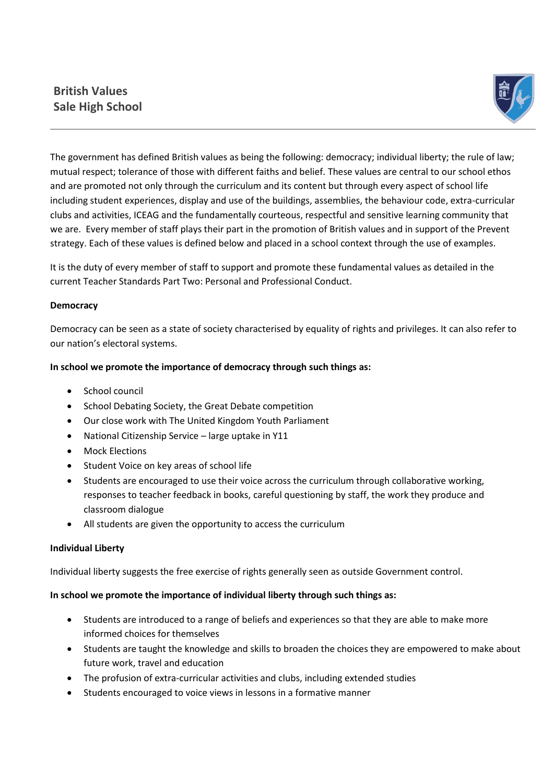# **British Values Sale High School**



The government has defined British values as being the following: democracy; individual liberty; the rule of law; mutual respect; tolerance of those with different faiths and belief. These values are central to our school ethos and are promoted not only through the curriculum and its content but through every aspect of school life including student experiences, display and use of the buildings, assemblies, the behaviour code, extra-curricular clubs and activities, ICEAG and the fundamentally courteous, respectful and sensitive learning community that we are. Every member of staff plays their part in the promotion of British values and in support of the Prevent strategy. Each of these values is defined below and placed in a school context through the use of examples.

It is the duty of every member of staff to support and promote these fundamental values as detailed in the current Teacher Standards Part Two: Personal and Professional Conduct.

#### **Democracy**

Democracy can be seen as a state of society characterised by equality of rights and privileges. It can also refer to our nation's electoral systems.

#### **In school we promote the importance of democracy through such things as:**

- School council
- School Debating Society, the Great Debate competition
- Our close work with The United Kingdom Youth Parliament
- National Citizenship Service large uptake in Y11
- Mock Elections
- Student Voice on key areas of school life
- Students are encouraged to use their voice across the curriculum through collaborative working, responses to teacher feedback in books, careful questioning by staff, the work they produce and classroom dialogue
- All students are given the opportunity to access the curriculum

#### **Individual Liberty**

Individual liberty suggests the free exercise of rights generally seen as outside Government control.

# **In school we promote the importance of individual liberty through such things as:**

- Students are introduced to a range of beliefs and experiences so that they are able to make more informed choices for themselves
- Students are taught the knowledge and skills to broaden the choices they are empowered to make about future work, travel and education
- The profusion of extra-curricular activities and clubs, including extended studies
- Students encouraged to voice views in lessons in a formative manner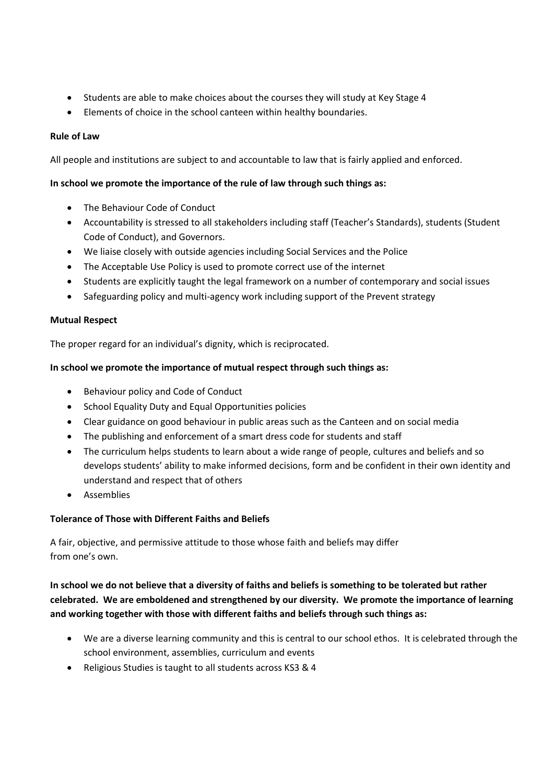- Students are able to make choices about the courses they will study at Key Stage 4
- Elements of choice in the school canteen within healthy boundaries.

### **Rule of Law**

All people and institutions are subject to and accountable to law that is fairly applied and enforced.

#### **In school we promote the importance of the rule of law through such things as:**

- The Behaviour Code of Conduct
- Accountability is stressed to all stakeholders including staff (Teacher's Standards), students (Student Code of Conduct), and Governors.
- We liaise closely with outside agencies including Social Services and the Police
- The Acceptable Use Policy is used to promote correct use of the internet
- Students are explicitly taught the legal framework on a number of contemporary and social issues
- Safeguarding policy and multi-agency work including support of the Prevent strategy

#### **Mutual Respect**

The proper regard for an individual's dignity, which is reciprocated.

#### **In school we promote the importance of mutual respect through such things as:**

- Behaviour policy and Code of Conduct
- School Equality Duty and Equal Opportunities policies
- Clear guidance on good behaviour in public areas such as the Canteen and on social media
- The publishing and enforcement of a smart dress code for students and staff
- The curriculum helps students to learn about a wide range of people, cultures and beliefs and so develops students' ability to make informed decisions, form and be confident in their own identity and understand and respect that of others
- **•** Assemblies

# **Tolerance of Those with Different Faiths and Beliefs**

A fair, objective, and permissive attitude to those whose faith and beliefs may differ from one's own.

# **In school we do not believe that a diversity of faiths and beliefs is something to be tolerated but rather celebrated. We are emboldened and strengthened by our diversity. We promote the importance of learning and working together with those with different faiths and beliefs through such things as:**

- We are a diverse learning community and this is central to our school ethos. It is celebrated through the school environment, assemblies, curriculum and events
- Religious Studies is taught to all students across KS3 & 4